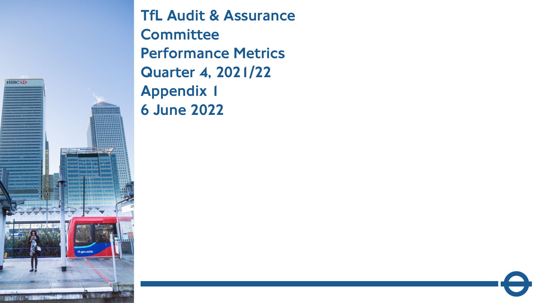

TfL Audit & Assurance **Committee** Performance Metrics Quarter 4, 2021/22 Appendix 1 6 June 2022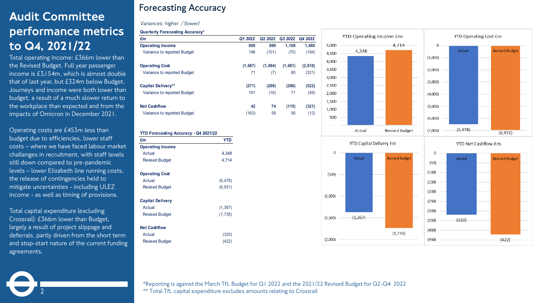# Audit Committee performance metrics to Q4, 2021/22

Total operating income: £366m lower than the Revised Budget. Full year passenger income is £3,154m, which is almost double that of last year, but £324m below Budget. Journeys and income were both lower than budget, a result of a much slower return to the workplace than expected and from the impacts of Omicron in December 2021.

Operating costs are £453m less than budget due to efficiencies, lower staff costs – where we have faced labour market challenges in recruitment, with staff levels still down compared to pre-pandemic levels – lower Elizabeth line running costs, the release of contingencies held to mitigate uncertainties - including ULEZ income - as well as timing of provisions.

Total capital expenditure (excluding Crossrail): £366m lower than Budget, largely a result of project slippage and deferrals, partly driven from the short term and stop-start nature of the current funding agreements.

2

## **Forecasting Accuracy**

#### *Variances: higher / (lower)*

| <b>Quarterly Forecasting Accuracy*</b> |          |          |         |         |
|----------------------------------------|----------|----------|---------|---------|
| £m                                     | Q1 2022  | Q2 2022  | Q3 2022 | Q4 2022 |
| <b>Operating Income</b>                | 800      | 899      | 1,169   | 1,480   |
| Variance to reported Budget            | 196      | (101)    | (70)    | (194)   |
| <b>Operating Cost</b>                  | (1, 487) | (1, 494) | (1,481) | (2,016) |
| Variance to reported Budget            | 71       | (7)      | 80      | (321)   |
| <b>Capital Delivery**</b>              | (271)    | (288)    | (288)   | (522)   |
| Variance to reported Budget            | 191      | (16)     | 71      | (49)    |
| <b>Net Cashflow</b>                    | 42       | 74       | (115)   | (321)   |
| Variance to reported Budget            | (163)    | 59       | 56      | (12)    |

| £m                      | YTD      |
|-------------------------|----------|
| <b>Operating Income</b> |          |
| Actual                  | 4,348    |
| <b>Revised Budget</b>   | 4,714    |
| <b>Operating Cost</b>   |          |
| Actual                  | (6, 478) |
| <b>Revised Budget</b>   | (6,931)  |
| <b>Capital Delivery</b> |          |
| Actual                  | (1, 367) |
| <b>Revised Budget</b>   | (1,735)  |
| <b>Net Cashflow</b>     |          |
| Actual                  | (320)    |
| <b>Revised Budget</b>   | (422)    |



\*Reporting is against the March TfL Budget for Q1 2022 and the 2021/22 Revised Budget for Q2-Q4 2022 \*\* Total TfL capital expenditure excludes amounts relating to Crossrail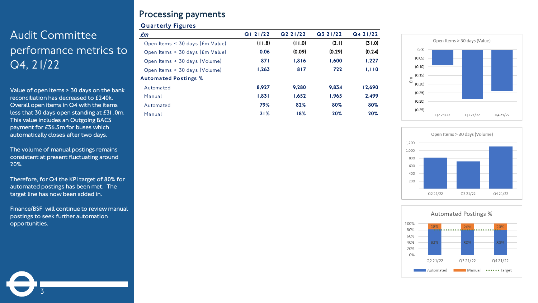# Audit Committee performance metrics to Q4, 21/22

Value of open items > 30 days on the bank reconciliation has decreased to £240k. Overall open items in Q4 with the items less that 30 days open standing at £31 .0m. This value includes an Outgoing BACS payment for £36.5m for buses which automatically closes after two days.

The volume of manual postings remains consistent at present fluctuating around 20%.

Therefore, for Q4 the KPI target of 80% for automated postings has been met. The target line has now been added in.

Finance/BSF will continue to review manual postings to seek further automation opportunities.

3

### **Processing payments**

#### Quarterly Figures

| £m                                         | Q121/22 | Q2 21/22 | Q3 21/22 | Q421/22 |
|--------------------------------------------|---------|----------|----------|---------|
| Open Items < 30 days (£m Value)            | (11.8)  | (0.11)   | (2.1)    | (31.0)  |
| Open Items $> 30$ days ( <i>Em Value</i> ) | 0.06    | (0.09)   | (0.29)   | (0.24)  |
| Open Items < 30 days (Volume)              | 871     | 1.816    | 1.600    | 1,227   |
| Open Items > 30 days (Volume)              | 1.263   | 817      | 722      | 1.110   |
| <b>Automated Postings %</b>                |         |          |          |         |
| Automated                                  | 8.927   | 9.280    | 9.834    | 12.690  |
| Manual                                     | 1.831   | 1.652    | 1.965    | 2.499   |
| Automated                                  | 79%     | 82%      | 80%      | 80%     |
| Manual                                     | 21%     | 18%      | 20%      | 20%     |